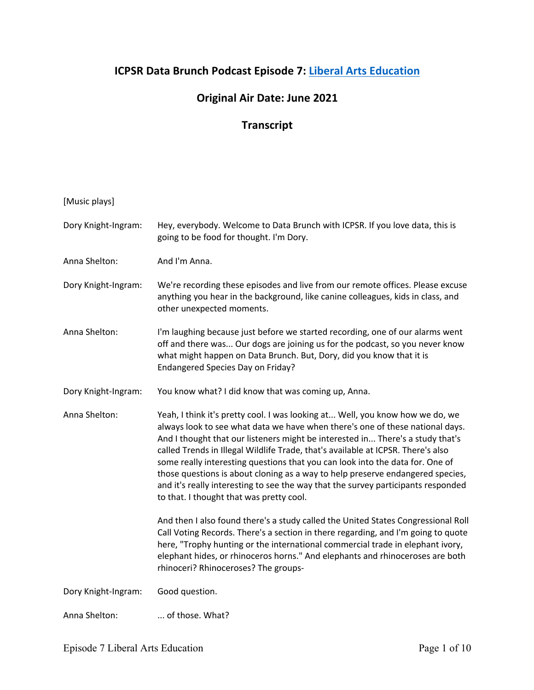## **ICPSR Data Brunch Podcast Episode 7: Liberal Arts Education**

## **Original Air Date: June 2021**

## **Transcript**

## [Music plays]

| Dory Knight-Ingram: | Hey, everybody. Welcome to Data Brunch with ICPSR. If you love data, this is<br>going to be food for thought. I'm Dory.                                                                                                                                                                                                                                                                                                                                                                                                                                                                                                                  |
|---------------------|------------------------------------------------------------------------------------------------------------------------------------------------------------------------------------------------------------------------------------------------------------------------------------------------------------------------------------------------------------------------------------------------------------------------------------------------------------------------------------------------------------------------------------------------------------------------------------------------------------------------------------------|
| Anna Shelton:       | And I'm Anna.                                                                                                                                                                                                                                                                                                                                                                                                                                                                                                                                                                                                                            |
| Dory Knight-Ingram: | We're recording these episodes and live from our remote offices. Please excuse<br>anything you hear in the background, like canine colleagues, kids in class, and<br>other unexpected moments.                                                                                                                                                                                                                                                                                                                                                                                                                                           |
| Anna Shelton:       | I'm laughing because just before we started recording, one of our alarms went<br>off and there was Our dogs are joining us for the podcast, so you never know<br>what might happen on Data Brunch. But, Dory, did you know that it is<br>Endangered Species Day on Friday?                                                                                                                                                                                                                                                                                                                                                               |
| Dory Knight-Ingram: | You know what? I did know that was coming up, Anna.                                                                                                                                                                                                                                                                                                                                                                                                                                                                                                                                                                                      |
| Anna Shelton:       | Yeah, I think it's pretty cool. I was looking at Well, you know how we do, we<br>always look to see what data we have when there's one of these national days.<br>And I thought that our listeners might be interested in There's a study that's<br>called Trends in Illegal Wildlife Trade, that's available at ICPSR. There's also<br>some really interesting questions that you can look into the data for. One of<br>those questions is about cloning as a way to help preserve endangered species,<br>and it's really interesting to see the way that the survey participants responded<br>to that. I thought that was pretty cool. |
|                     | And then I also found there's a study called the United States Congressional Roll<br>Call Voting Records. There's a section in there regarding, and I'm going to quote<br>here, "Trophy hunting or the international commercial trade in elephant ivory,<br>elephant hides, or rhinoceros horns." And elephants and rhinoceroses are both<br>rhinoceri? Rhinoceroses? The groups-                                                                                                                                                                                                                                                        |
| Dory Knight-Ingram: | Good question.                                                                                                                                                                                                                                                                                                                                                                                                                                                                                                                                                                                                                           |
| Anna Shelton:       | of those. What?                                                                                                                                                                                                                                                                                                                                                                                                                                                                                                                                                                                                                          |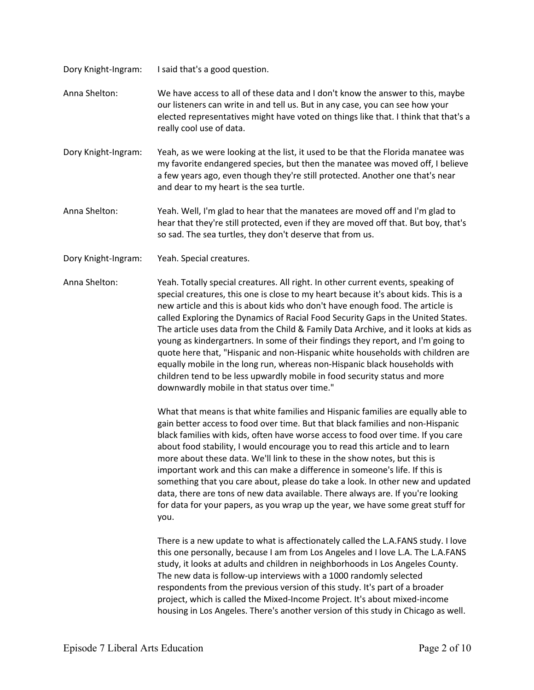Dory Knight-Ingram: I said that's a good question.

Anna Shelton: We have access to all of these data and I don't know the answer to this, maybe our listeners can write in and tell us. But in any case, you can see how your elected representatives might have voted on things like that. I think that that's a really cool use of data.

Dory Knight-Ingram: Yeah, as we were looking at the list, it used to be that the Florida manatee was my favorite endangered species, but then the manatee was moved off, I believe a few years ago, even though they're still protected. Another one that's near and dear to my heart is the sea turtle.

Anna Shelton: Yeah. Well, I'm glad to hear that the manatees are moved off and I'm glad to hear that they're still protected, even if they are moved off that. But boy, that's so sad. The sea turtles, they don't deserve that from us.

Dory Knight-Ingram: Yeah. Special creatures.

Anna Shelton: Yeah. Totally special creatures. All right. In other current events, speaking of special creatures, this one is close to my heart because it's about kids. This is a new article and this is about kids who don't have enough food. The article is called Exploring the Dynamics of Racial Food Security Gaps in the United States. The article uses data from the Child & Family Data Archive, and it looks at kids as young as kindergartners. In some of their findings they report, and I'm going to quote here that, "Hispanic and non-Hispanic white households with children are equally mobile in the long run, whereas non-Hispanic black households with children tend to be less upwardly mobile in food security status and more downwardly mobile in that status over time."

> What that means is that white families and Hispanic families are equally able to gain better access to food over time. But that black families and non-Hispanic black families with kids, often have worse access to food over time. If you care about food stability, I would encourage you to read this article and to learn more about these data. We'll link to these in the show notes, but this is important work and this can make a difference in someone's life. If this is something that you care about, please do take a look. In other new and updated data, there are tons of new data available. There always are. If you're looking for data for your papers, as you wrap up the year, we have some great stuff for you.

There is a new update to what is affectionately called the L.A.FANS study. I love this one personally, because I am from Los Angeles and I love L.A. The L.A.FANS study, it looks at adults and children in neighborhoods in Los Angeles County. The new data is follow-up interviews with a 1000 randomly selected respondents from the previous version of this study. It's part of a broader project, which is called the Mixed-Income Project. It's about mixed-income housing in Los Angeles. There's another version of this study in Chicago as well.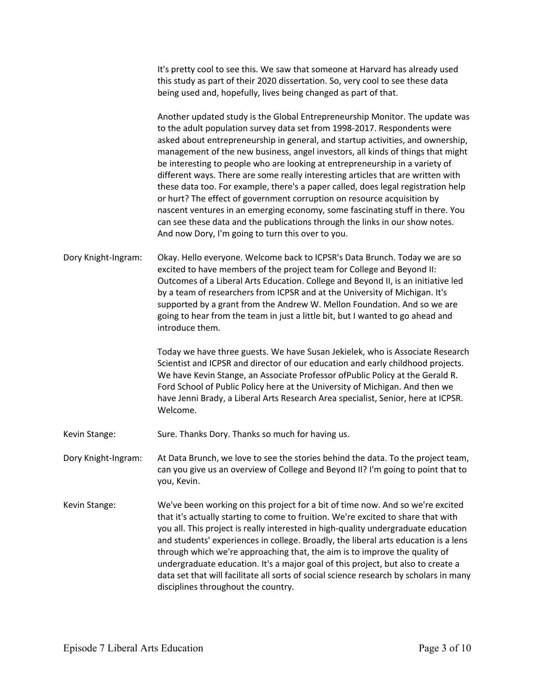It's pretty cool to see this. We saw that someone at Harvard has already used this study as part of their 2020 dissertation. So, very cool to see these data being used and, hopefully, lives being changed as part of that.

Another updated study is the Global Entrepreneurship Monitor. The update was to the adult population survey data set from 1998-2017. Respondents were asked about entrepreneurship in general, and startup activities, and ownership, management of the new business, angel investors, all kinds of things that might be interesting to people who are looking at entrepreneurship in a variety of different ways. There are some really interesting articles that are written with these data too. For example, there's a paper called, does legal registration help or hurt? The effect of government corruption on resource acquisition by nascent ventures in an emerging economy, some fascinating stuff in there. You can see these data and the publications through the links in our show notes. And now Dory, I'm going to turn this over to you.

Dory Knight-Ingram: Okay. Hello everyone. Welcome back to ICPSR's Data Brunch. Today we are so excited to have members of the project team for College and Beyond II: Outcomes of a Liberal Arts Education. College and Beyond II, is an initiative led by a team of researchers from ICPSR and at the University of Michigan. It's supported by a grant from the Andrew W. Mellon Foundation. And so we are going to hear from the team in just a little bit, but I wanted to go ahead and introduce them.

> Today we have three guests. We have Susan Jekielek, who is Associate Research Scientist and ICPSR and director of our education and early childhood projects. We have Kevin Stange, an Associate Professor ofPublic Policy at the Gerald R. Ford School of Public Policy here at the University of Michigan. And then we have Jenni Brady, a Liberal Arts Research Area specialist, Senior, here at ICPSR. Welcome.

Kevin Stange: Sure. Thanks Dory. Thanks so much for having us.

Dory Knight-Ingram: At Data Brunch, we love to see the stories behind the data. To the project team, can you give us an overview of College and Beyond II? I'm going to point that to you, Kevin.

Kevin Stange: We've been working on this project for a bit of time now. And so we're excited that it's actually starting to come to fruition. We're excited to share that with you all. This project is really interested in high-quality undergraduate education and students' experiences in college. Broadly, the liberal arts education is a lens through which we're approaching that, the aim is to improve the quality of undergraduate education. It's a major goal of this project, but also to create a data set that will facilitate all sorts of social science research by scholars in many disciplines throughout the country.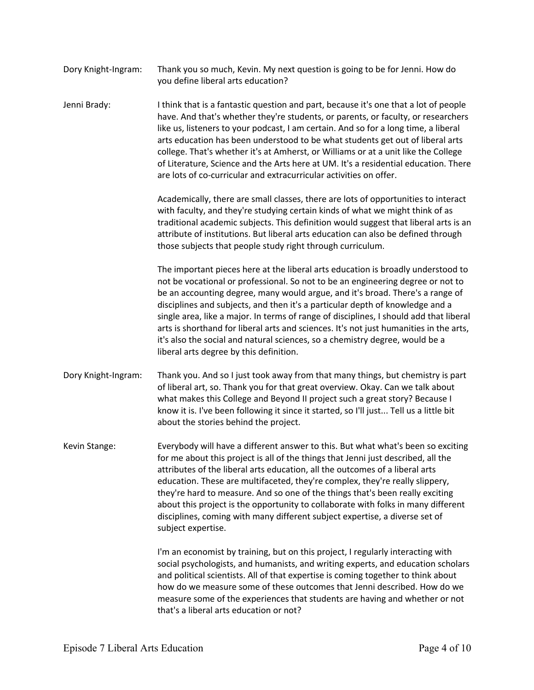| Dory Knight-Ingram: | Thank you so much, Kevin. My next question is going to be for Jenni. How do |
|---------------------|-----------------------------------------------------------------------------|
|                     | you define liberal arts education?                                          |

Jenni Brady: I think that is a fantastic question and part, because it's one that a lot of people have. And that's whether they're students, or parents, or faculty, or researchers like us, listeners to your podcast, I am certain. And so for a long time, a liberal arts education has been understood to be what students get out of liberal arts college. That's whether it's at Amherst, or Williams or at a unit like the College of Literature, Science and the Arts here at UM. It's a residential education. There are lots of co-curricular and extracurricular activities on offer.

> Academically, there are small classes, there are lots of opportunities to interact with faculty, and they're studying certain kinds of what we might think of as traditional academic subjects. This definition would suggest that liberal arts is an attribute of institutions. But liberal arts education can also be defined through those subjects that people study right through curriculum.

> The important pieces here at the liberal arts education is broadly understood to not be vocational or professional. So not to be an engineering degree or not to be an accounting degree, many would argue, and it's broad. There's a range of disciplines and subjects, and then it's a particular depth of knowledge and a single area, like a major. In terms of range of disciplines, I should add that liberal arts is shorthand for liberal arts and sciences. It's not just humanities in the arts, it's also the social and natural sciences, so a chemistry degree, would be a liberal arts degree by this definition.

Dory Knight-Ingram: Thank you. And so I just took away from that many things, but chemistry is part of liberal art, so. Thank you for that great overview. Okay. Can we talk about what makes this College and Beyond II project such a great story? Because I know it is. I've been following it since it started, so I'll just... Tell us a little bit about the stories behind the project.

Kevin Stange: Everybody will have a different answer to this. But what what's been so exciting for me about this project is all of the things that Jenni just described, all the attributes of the liberal arts education, all the outcomes of a liberal arts education. These are multifaceted, they're complex, they're really slippery, they're hard to measure. And so one of the things that's been really exciting about this project is the opportunity to collaborate with folks in many different disciplines, coming with many different subject expertise, a diverse set of subject expertise.

> I'm an economist by training, but on this project, I regularly interacting with social psychologists, and humanists, and writing experts, and education scholars and political scientists. All of that expertise is coming together to think about how do we measure some of these outcomes that Jenni described. How do we measure some of the experiences that students are having and whether or not that's a liberal arts education or not?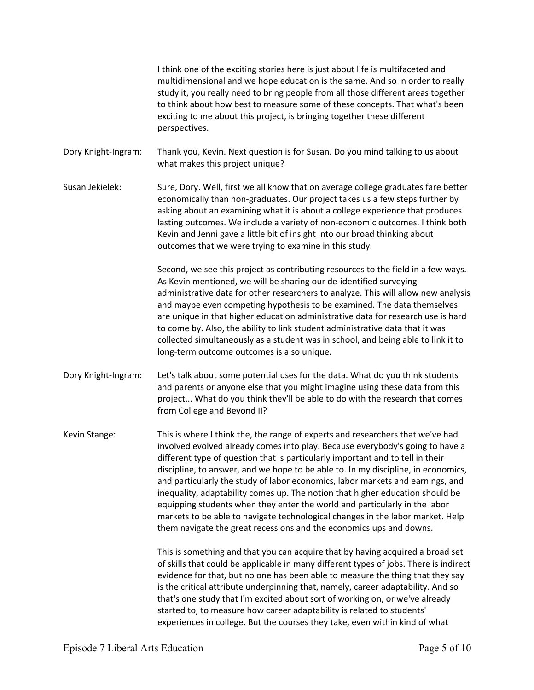I think one of the exciting stories here is just about life is multifaceted and multidimensional and we hope education is the same. And so in order to really study it, you really need to bring people from all those different areas together to think about how best to measure some of these concepts. That what's been exciting to me about this project, is bringing together these different perspectives.

Dory Knight-Ingram: Thank you, Kevin. Next question is for Susan. Do you mind talking to us about what makes this project unique?

Susan Jekielek: Sure, Dory. Well, first we all know that on average college graduates fare better economically than non-graduates. Our project takes us a few steps further by asking about an examining what it is about a college experience that produces lasting outcomes. We include a variety of non-economic outcomes. I think both Kevin and Jenni gave a little bit of insight into our broad thinking about outcomes that we were trying to examine in this study.

> Second, we see this project as contributing resources to the field in a few ways. As Kevin mentioned, we will be sharing our de-identified surveying administrative data for other researchers to analyze. This will allow new analysis and maybe even competing hypothesis to be examined. The data themselves are unique in that higher education administrative data for research use is hard to come by. Also, the ability to link student administrative data that it was collected simultaneously as a student was in school, and being able to link it to long-term outcome outcomes is also unique.

Dory Knight-Ingram: Let's talk about some potential uses for the data. What do you think students and parents or anyone else that you might imagine using these data from this project... What do you think they'll be able to do with the research that comes from College and Beyond II?

Kevin Stange: This is where I think the, the range of experts and researchers that we've had involved evolved already comes into play. Because everybody's going to have a different type of question that is particularly important and to tell in their discipline, to answer, and we hope to be able to. In my discipline, in economics, and particularly the study of labor economics, labor markets and earnings, and inequality, adaptability comes up. The notion that higher education should be equipping students when they enter the world and particularly in the labor markets to be able to navigate technological changes in the labor market. Help them navigate the great recessions and the economics ups and downs.

> This is something and that you can acquire that by having acquired a broad set of skills that could be applicable in many different types of jobs. There is indirect evidence for that, but no one has been able to measure the thing that they say is the critical attribute underpinning that, namely, career adaptability. And so that's one study that I'm excited about sort of working on, or we've already started to, to measure how career adaptability is related to students' experiences in college. But the courses they take, even within kind of what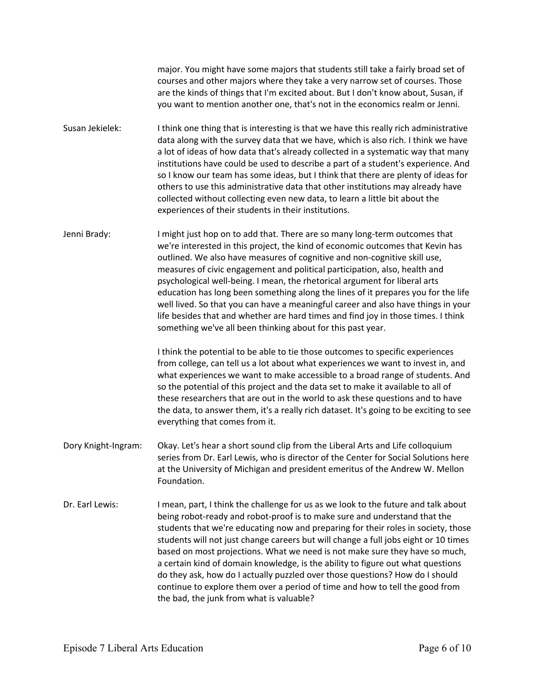major. You might have some majors that students still take a fairly broad set of courses and other majors where they take a very narrow set of courses. Those are the kinds of things that I'm excited about. But I don't know about, Susan, if you want to mention another one, that's not in the economics realm or Jenni.

- Susan Jekielek: I think one thing that is interesting is that we have this really rich administrative data along with the survey data that we have, which is also rich. I think we have a lot of ideas of how data that's already collected in a systematic way that many institutions have could be used to describe a part of a student's experience. And so I know our team has some ideas, but I think that there are plenty of ideas for others to use this administrative data that other institutions may already have collected without collecting even new data, to learn a little bit about the experiences of their students in their institutions.
- Jenni Brady: I might just hop on to add that. There are so many long-term outcomes that we're interested in this project, the kind of economic outcomes that Kevin has outlined. We also have measures of cognitive and non-cognitive skill use, measures of civic engagement and political participation, also, health and psychological well-being. I mean, the rhetorical argument for liberal arts education has long been something along the lines of it prepares you for the life well lived. So that you can have a meaningful career and also have things in your life besides that and whether are hard times and find joy in those times. I think something we've all been thinking about for this past year.

I think the potential to be able to tie those outcomes to specific experiences from college, can tell us a lot about what experiences we want to invest in, and what experiences we want to make accessible to a broad range of students. And so the potential of this project and the data set to make it available to all of these researchers that are out in the world to ask these questions and to have the data, to answer them, it's a really rich dataset. It's going to be exciting to see everything that comes from it.

- Dory Knight-Ingram: Okay. Let's hear a short sound clip from the Liberal Arts and Life colloquium series from Dr. Earl Lewis, who is director of the Center for Social Solutions here at the University of Michigan and president emeritus of the Andrew W. Mellon Foundation.
- Dr. Earl Lewis: I mean, part, I think the challenge for us as we look to the future and talk about being robot-ready and robot-proof is to make sure and understand that the students that we're educating now and preparing for their roles in society, those students will not just change careers but will change a full jobs eight or 10 times based on most projections. What we need is not make sure they have so much, a certain kind of domain knowledge, is the ability to figure out what questions do they ask, how do I actually puzzled over those questions? How do I should continue to explore them over a period of time and how to tell the good from the bad, the junk from what is valuable?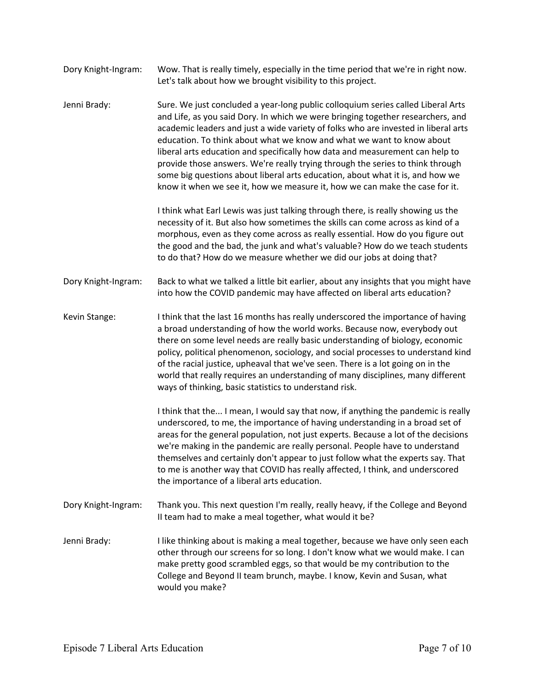- Dory Knight-Ingram: Wow. That is really timely, especially in the time period that we're in right now. Let's talk about how we brought visibility to this project.
- Jenni Brady: Sure. We just concluded a year-long public colloquium series called Liberal Arts and Life, as you said Dory. In which we were bringing together researchers, and academic leaders and just a wide variety of folks who are invested in liberal arts education. To think about what we know and what we want to know about liberal arts education and specifically how data and measurement can help to provide those answers. We're really trying through the series to think through some big questions about liberal arts education, about what it is, and how we know it when we see it, how we measure it, how we can make the case for it.

I think what Earl Lewis was just talking through there, is really showing us the necessity of it. But also how sometimes the skills can come across as kind of a morphous, even as they come across as really essential. How do you figure out the good and the bad, the junk and what's valuable? How do we teach students to do that? How do we measure whether we did our jobs at doing that?

Dory Knight-Ingram: Back to what we talked a little bit earlier, about any insights that you might have into how the COVID pandemic may have affected on liberal arts education?

Kevin Stange: I think that the last 16 months has really underscored the importance of having a broad understanding of how the world works. Because now, everybody out there on some level needs are really basic understanding of biology, economic policy, political phenomenon, sociology, and social processes to understand kind of the racial justice, upheaval that we've seen. There is a lot going on in the world that really requires an understanding of many disciplines, many different ways of thinking, basic statistics to understand risk.

> I think that the... I mean, I would say that now, if anything the pandemic is really underscored, to me, the importance of having understanding in a broad set of areas for the general population, not just experts. Because a lot of the decisions we're making in the pandemic are really personal. People have to understand themselves and certainly don't appear to just follow what the experts say. That to me is another way that COVID has really affected, I think, and underscored the importance of a liberal arts education.

- Dory Knight-Ingram: Thank you. This next question I'm really, really heavy, if the College and Beyond II team had to make a meal together, what would it be?
- Jenni Brady: I like thinking about is making a meal together, because we have only seen each other through our screens for so long. I don't know what we would make. I can make pretty good scrambled eggs, so that would be my contribution to the College and Beyond II team brunch, maybe. I know, Kevin and Susan, what would you make?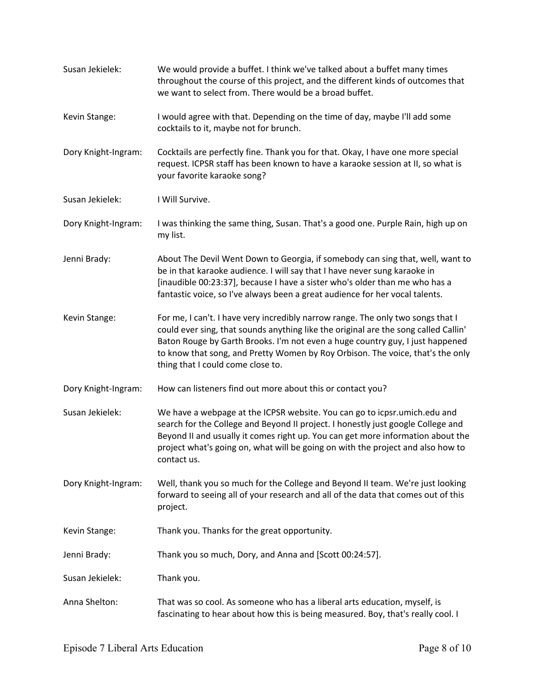| Susan Jekielek:     | We would provide a buffet. I think we've talked about a buffet many times<br>throughout the course of this project, and the different kinds of outcomes that<br>we want to select from. There would be a broad buffet.                                                                                                                                                         |
|---------------------|--------------------------------------------------------------------------------------------------------------------------------------------------------------------------------------------------------------------------------------------------------------------------------------------------------------------------------------------------------------------------------|
| Kevin Stange:       | I would agree with that. Depending on the time of day, maybe I'll add some<br>cocktails to it, maybe not for brunch.                                                                                                                                                                                                                                                           |
| Dory Knight-Ingram: | Cocktails are perfectly fine. Thank you for that. Okay, I have one more special<br>request. ICPSR staff has been known to have a karaoke session at II, so what is<br>your favorite karaoke song?                                                                                                                                                                              |
| Susan Jekielek:     | I Will Survive.                                                                                                                                                                                                                                                                                                                                                                |
| Dory Knight-Ingram: | I was thinking the same thing, Susan. That's a good one. Purple Rain, high up on<br>my list.                                                                                                                                                                                                                                                                                   |
| Jenni Brady:        | About The Devil Went Down to Georgia, if somebody can sing that, well, want to<br>be in that karaoke audience. I will say that I have never sung karaoke in<br>[inaudible 00:23:37], because I have a sister who's older than me who has a<br>fantastic voice, so I've always been a great audience for her vocal talents.                                                     |
| Kevin Stange:       | For me, I can't. I have very incredibly narrow range. The only two songs that I<br>could ever sing, that sounds anything like the original are the song called Callin'<br>Baton Rouge by Garth Brooks. I'm not even a huge country guy, I just happened<br>to know that song, and Pretty Women by Roy Orbison. The voice, that's the only<br>thing that I could come close to. |
| Dory Knight-Ingram: | How can listeners find out more about this or contact you?                                                                                                                                                                                                                                                                                                                     |
| Susan Jekielek:     | We have a webpage at the ICPSR website. You can go to icpsr.umich.edu and<br>search for the College and Beyond II project. I honestly just google College and<br>Beyond II and usually it comes right up. You can get more information about the<br>project what's going on, what will be going on with the project and also how to<br>contact us.                             |
| Dory Knight-Ingram: | Well, thank you so much for the College and Beyond II team. We're just looking<br>forward to seeing all of your research and all of the data that comes out of this<br>project.                                                                                                                                                                                                |
| Kevin Stange:       | Thank you. Thanks for the great opportunity.                                                                                                                                                                                                                                                                                                                                   |
| Jenni Brady:        | Thank you so much, Dory, and Anna and [Scott 00:24:57].                                                                                                                                                                                                                                                                                                                        |
| Susan Jekielek:     | Thank you.                                                                                                                                                                                                                                                                                                                                                                     |
| Anna Shelton:       | That was so cool. As someone who has a liberal arts education, myself, is<br>fascinating to hear about how this is being measured. Boy, that's really cool. I                                                                                                                                                                                                                  |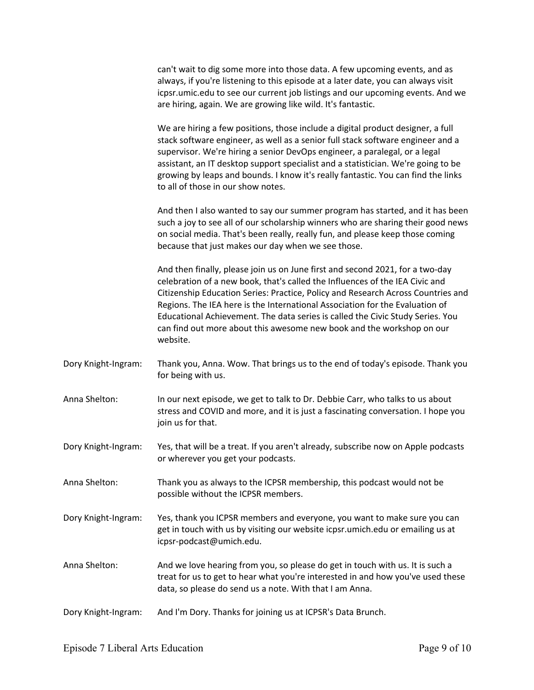| can't wait to dig some more into those data. A few upcoming events, and as        |
|-----------------------------------------------------------------------------------|
| always, if you're listening to this episode at a later date, you can always visit |
| icpsr.umic.edu to see our current job listings and our upcoming events. And we    |
| are hiring, again. We are growing like wild. It's fantastic.                      |

We are hiring a few positions, those include a digital product designer, a full stack software engineer, as well as a senior full stack software engineer and a supervisor. We're hiring a senior DevOps engineer, a paralegal, or a legal assistant, an IT desktop support specialist and a statistician. We're going to be growing by leaps and bounds. I know it's really fantastic. You can find the links to all of those in our show notes.

And then I also wanted to say our summer program has started, and it has been such a joy to see all of our scholarship winners who are sharing their good news on social media. That's been really, really fun, and please keep those coming because that just makes our day when we see those.

And then finally, please join us on June first and second 2021, for a two-day celebration of a new book, that's called the Influences of the IEA Civic and Citizenship Education Series: Practice, Policy and Research Across Countries and Regions. The IEA here is the International Association for the Evaluation of Educational Achievement. The data series is called the Civic Study Series. You can find out more about this awesome new book and the workshop on our website.

- Dory Knight-Ingram: Thank you, Anna. Wow. That brings us to the end of today's episode. Thank you for being with us.
- Anna Shelton: In our next episode, we get to talk to Dr. Debbie Carr, who talks to us about stress and COVID and more, and it is just a fascinating conversation. I hope you join us for that.
- Dory Knight-Ingram: Yes, that will be a treat. If you aren't already, subscribe now on Apple podcasts or wherever you get your podcasts.
- Anna Shelton: Thank you as always to the ICPSR membership, this podcast would not be possible without the ICPSR members.
- Dory Knight-Ingram: Yes, thank you ICPSR members and everyone, you want to make sure you can get in touch with us by visiting our website icpsr.umich.edu or emailing us at icpsr-podcast@umich.edu.
- Anna Shelton: And we love hearing from you, so please do get in touch with us. It is such a treat for us to get to hear what you're interested in and how you've used these data, so please do send us a note. With that I am Anna.
- Dory Knight-Ingram: And I'm Dory. Thanks for joining us at ICPSR's Data Brunch.